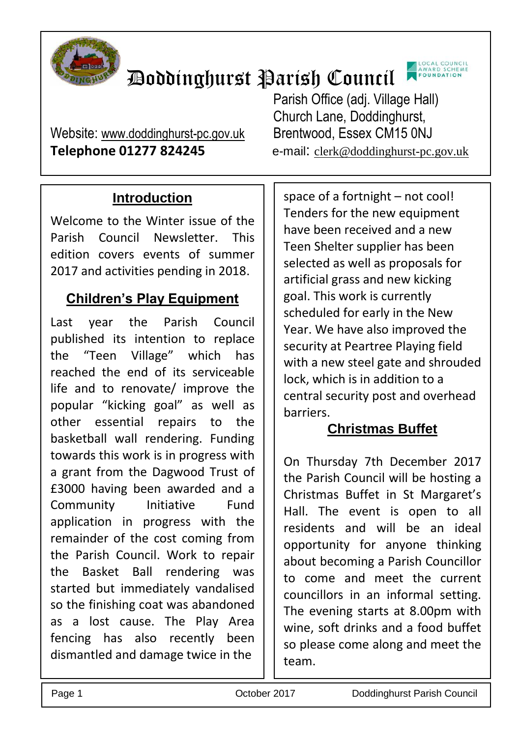

# Doddinghurst Parish Council



Website: [www.doddinghurst-pc.gov.uk](http://www.doddinghurst-pc.gov.uk/) Brentwood, Essex CM15 0NJ **Telephone 01277 824245** e-mail: [clerk@doddinghurst-pc.gov.uk](mailto:clerk@doddinghurst-pc.gov.uk)

Parish Office (adj. Village Hall) Church Lane, Doddinghurst,

## **Introduction**

Welcome to the Winter issue of the Parish Council Newsletter. This edition covers events of summer 2017 and activities pending in 2018.

#### **Children's Play Equipment**

Last year the Parish Council published its intention to replace the "Teen Village" which has reached the end of its serviceable life and to renovate/ improve the popular "kicking goal" as well as other essential repairs to the basketball wall rendering. Funding towards this work is in progress with a grant from the Dagwood Trust of £3000 having been awarded and a Community Initiative Fund application in progress with the remainder of the cost coming from the Parish Council. Work to repair the Basket Ball rendering was started but immediately vandalised so the finishing coat was abandoned as a lost cause. The Play Area fencing has also recently been dismantled and damage twice in the

space of a fortnight – not cool! Tenders for the new equipment have been received and a new Teen Shelter supplier has been selected as well as proposals for artificial grass and new kicking goal. This work is currently scheduled for early in the New Year. We have also improved the security at Peartree Playing field with a new steel gate and shrouded lock, which is in addition to a central security post and overhead barriers.

## **Christmas Buffet**

On Thursday 7th December 2017 the Parish Council will be hosting a Christmas Buffet in St Margaret's Hall. The event is open to all residents and will be an ideal opportunity for anyone thinking about becoming a Parish Councillor to come and meet the current councillors in an informal setting. The evening starts at 8.00pm with wine, soft drinks and a food buffet so please come along and meet the team.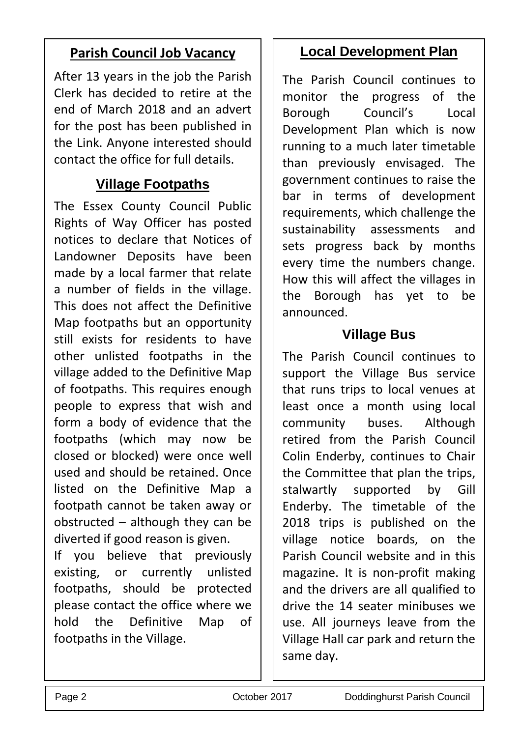#### **Parish Council Job Vacancy**

After 13 years in the job the Parish Clerk has decided to retire at the end of March 2018 and an advert for the post has been published in the Link. Anyone interested should contact the office for full details.

#### **Village Footpaths**

The Essex County Council Public Rights of Way Officer has posted notices to declare that Notices of Landowner Deposits have been made by a local farmer that relate a number of fields in the village. This does not affect the Definitive Map footpaths but an opportunity still exists for residents to have other unlisted footpaths in the village added to the Definitive Map of footpaths. This requires enough people to express that wish and form a body of evidence that the footpaths (which may now be closed or blocked) were once well used and should be retained. Once listed on the Definitive Map a footpath cannot be taken away or obstructed – although they can be diverted if good reason is given.

If you believe that previously existing, or currently unlisted footpaths, should be protected please contact the office where we hold the Definitive Map of footpaths in the Village.

#### **Local Development Plan**

The Parish Council continues to monitor the progress of the Borough Council's Local Development Plan which is now running to a much later timetable than previously envisaged. The government continues to raise the bar in terms of development requirements, which challenge the sustainability assessments and sets progress back by months every time the numbers change. How this will affect the villages in the Borough has yet to be announced.

#### **Village Bus**

The Parish Council continues to support the Village Bus service that runs trips to local venues at least once a month using local community buses. Although retired from the Parish Council Colin Enderby, continues to Chair the Committee that plan the trips, stalwartly supported by Gill Enderby. The timetable of the 2018 trips is published on the village notice boards, on the Parish Council website and in this magazine. It is non-profit making and the drivers are all qualified to drive the 14 seater minibuses we use. All journeys leave from the Village Hall car park and return the same day.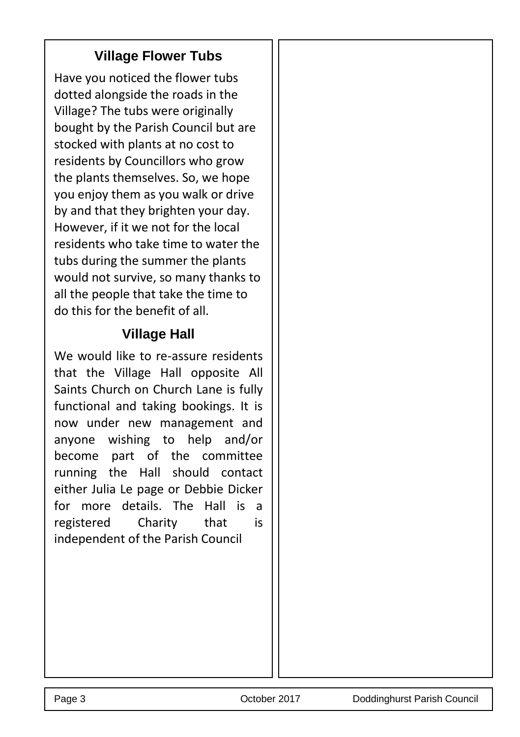#### **Village Flower Tubs**

Have you noticed the flower tubs dotted alongside the roads in the Village? The tubs were originally bought by the Parish Council but are stocked with plants at no cost to residents by Councillors who grow the plants themselves. So, we hope you enjoy them as you walk or drive by and that they brighten your day. However, if it we not for the local residents who take time to water the tubs during the summer the plants would not survive, so many thanks to all the people that take the time to do this for the benefit of all.

#### **Village Hall**

We would like to re-assure residents that the Village Hall opposite All Saints Church on Church Lane is fully functional and taking bookings. It is now under new management and anyone wishing to help and/or become part of the committee running the Hall should contact either Julia Le page or Debbie Dicker for more details. The Hall is a registered Charity that is independent of the Parish Council